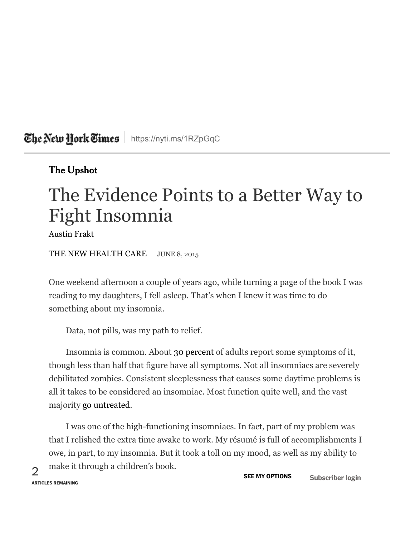## The New Hork Times | https://nyti.ms/1RZpGqC

## The Upshot

## The Evidence Points to a Better Way to Fight Insomnia

Austin Frakt

THE NEW HEALTH CARE JUNE 8, 2015

One weekend afternoon a couple of years ago, while turning a page of the book I was reading to my daughters, I fell asleep. That's when I knew it was time to do something about my insomnia.

Data, not pills, was my path to relief.

Insomnia is common. About 30 percent of adults report some symptoms of it, though less than half that figure have all symptoms. Not all insomniacs are severely debilitated zombies. Consistent sleeplessness that causes some daytime problems is all it takes to be considered an insomniac. Most function quite well, and the vast majority go untreated.

I was one of the high-functioning insomniacs. In fact, part of my problem was that I relished the extra time awake to work. My résumé is full of accomplishments I owe, in part, to my insomnia. But it took a toll on my mood, as well as my ability to **2** make it through a children's book.<br> **SEE MY OPTIONS** Subscriber login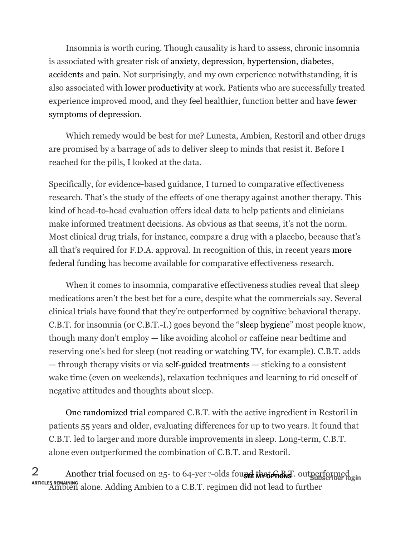Insomnia is worth curing. Though causality is hard to assess, chronic insomnia is associated with greater risk of anxiety, depression, hypertension, diabetes, accidents and pain. Not surprisingly, and my own experience notwithstanding, it is also associated with lower productivity at work. Patients who are successfully treated experience improved mood, and they feel healthier, function better and have fewer symptoms of depression.

Which remedy would be best for me? Lunesta, Ambien, Restoril and other drugs are promised by a barrage of ads to deliver sleep to minds that resist it. Before I reached for the pills, I looked at the data.

Specifically, for evidence-based guidance, I turned to comparative effectiveness research. That's the study of the effects of one therapy against another therapy. This kind of head-to-head evaluation offers ideal data to help patients and clinicians make informed treatment decisions. As obvious as that seems, it's not the norm. Most clinical drug trials, for instance, compare a drug with a placebo, because that's all that's required for F.D.A. approval. In recognition of this, in recent years more federal funding has become available for comparative effectiveness research.

When it comes to insomnia, comparative effectiveness studies reveal that sleep medications aren't the best bet for a cure, despite what the commercials say. Several clinical trials have found that they're outperformed by cognitive behavioral therapy. C.B.T. for insomnia (or C.B.T.-I.) goes beyond the "sleep hygiene" most people know, though many don't employ — like avoiding alcohol or caffeine near bedtime and reserving one's bed for sleep (not reading or watching TV, for example). C.B.T. adds — through therapy visits or via self-guided treatments — sticking to a consistent wake time (even on weekends), relaxation techniques and learning to rid oneself of negative attitudes and thoughts about sleep.

One randomized trial compared C.B.T. with the active ingredient in Restoril in patients 55 years and older, evaluating differences for up to two years. It found that C.B.T. led to larger and more durable improvements in sleep. Long-term, C.B.T. alone even outperformed the combination of C.B.T. and Restoril.

2 Another trial focused on 25- to 64-year-olds foused that Fight. outperformed ARTICLES REMAINING<br>Ambien alone. Adding Ambien to a C.B.T. regimen did not lead to further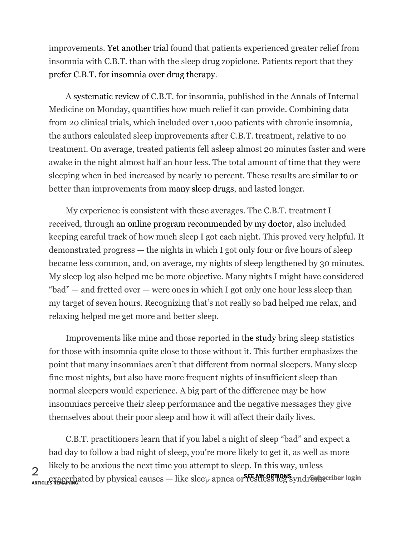improvements. Yet another trial found that patients experienced greater relief from insomnia with C.B.T. than with the sleep drug zopiclone. Patients report that they prefer C.B.T. for insomnia over drug therapy.

A systematic review of C.B.T. for insomnia, published in the Annals of Internal Medicine on Monday, quantifies how much relief it can provide. Combining data from 20 clinical trials, which included over 1,000 patients with chronic insomnia, the authors calculated sleep improvements after C.B.T. treatment, relative to no treatment. On average, treated patients fell asleep almost 20 minutes faster and were awake in the night almost half an hour less. The total amount of time that they were sleeping when in bed increased by nearly 10 percent. These results are similar to or better than improvements from many sleep drugs, and lasted longer.

My experience is consistent with these averages. The C.B.T. treatment I received, through an online program recommended by my doctor, also included keeping careful track of how much sleep I got each night. This proved very helpful. It demonstrated progress — the nights in which I got only four or five hours of sleep became less common, and, on average, my nights of sleep lengthened by 30 minutes. My sleep log also helped me be more objective. Many nights I might have considered "bad" — and fretted over — were ones in which I got only one hour less sleep than my target of seven hours. Recognizing that's not really so bad helped me relax, and relaxing helped me get more and better sleep.

Improvements like mine and those reported in the study bring sleep statistics for those with insomnia quite close to those without it. This further emphasizes the point that many insomniacs aren't that different from normal sleepers. Many sleep fine most nights, but also have more frequent nights of insufficient sleep than normal sleepers would experience. A big part of the difference may be how insomniacs perceive their sleep performance and the negative messages they give themselves about their poor sleep and how it will affect their daily lives.

C.B.T. practitioners learn that if you label a night of sleep "bad" and expect a bad day to follow a bad night of sleep, you're more likely to get it, as well as more likely to be anxious the next time you attempt to sleep. In this way, unless exacerbated by physical causes — like sleep apnea or **SEE MY OPTIONS** Syndrome Line is various the next time you attempt to sleep. In this way, unless